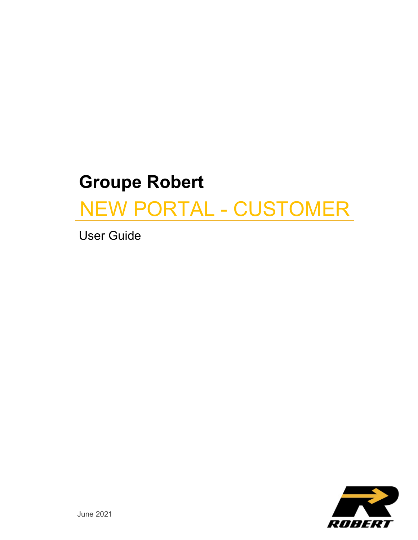# **Groupe Robert**

# NEW PORTAL - CUSTOMER

User Guide

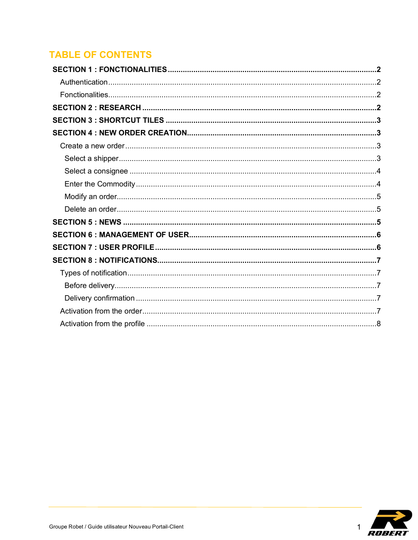# **TABLE OF CONTENTS**

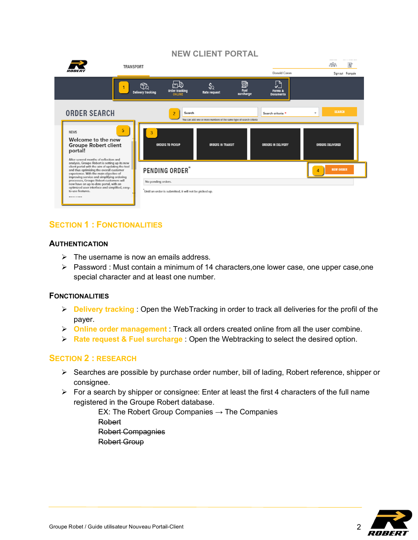

## **SECTION 1 : FONCTIONALITIES**

### **AUTHENTICATION**

- $\triangleright$  The username is now an emails address.
- $\triangleright$  Password : Must contain a minimum of 14 characters, one lower case, one upper case, one special character and at least one number.

### **FONCTIONALITIES**

- Ø **Delivery tracking** : Open the WebTracking in order to track all deliveries for the profil of the payer.
- Ø **Online order management** : Track all orders created online from all the user combine.
- Ø **Rate request & Fuel surcharge** : Open the Webtracking to select the desired option.

### **SECTION 2 : RESEARCH**

- $\triangleright$  Searches are possible by purchase order number, bill of lading, Robert reference, shipper or consignee.
- $\triangleright$  For a search by shipper or consignee: Enter at least the first 4 characters of the full name registered in the Groupe Robert database.

EX: The Robert Group Companies  $\rightarrow$  The Companies Robert Robert Compagnies Robert Group

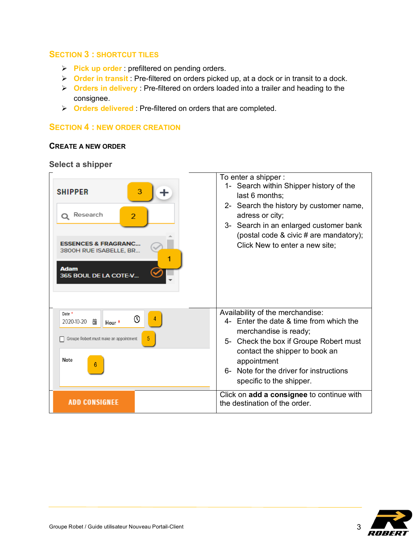### **SECTION 3 : SHORTCUT TILES**

- Ø **Pick up order** : prefiltered on pending orders.
- Ø **Order in transit** : Pre-filtered on orders picked up, at a dock or in transit to a dock.
- Ø **Orders in delivery** : Pre-filtered on orders loaded into a trailer and heading to the consignee.
- Ø **Orders delivered** : Pre-filtered on orders that are completed.

### **SECTION 4 : NEW ORDER CREATION**

### **CREATE A NEW ORDER**

**Select a shipper**



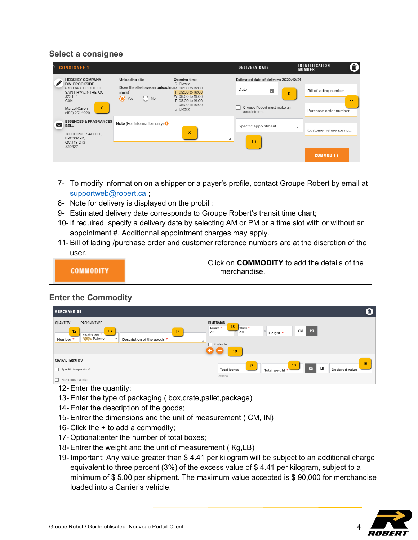# **Select a consignee**

| <b>CONSIGNEE 1</b>                                                                                                                                            |                                                                                                                                                                                                                                                                                                                                                                                                                                                                                                  |                                                                                                                      |    | <b>DELIVERY DATE</b>                                                                             | <b>IDENTIFICATION</b><br>NUMBER                | Ш  |
|---------------------------------------------------------------------------------------------------------------------------------------------------------------|--------------------------------------------------------------------------------------------------------------------------------------------------------------------------------------------------------------------------------------------------------------------------------------------------------------------------------------------------------------------------------------------------------------------------------------------------------------------------------------------------|----------------------------------------------------------------------------------------------------------------------|----|--------------------------------------------------------------------------------------------------|------------------------------------------------|----|
| <b>HERSHEY COMPANY</b><br><b>DIV. BROOKSIDE</b><br>6780 AV CHOQUETTE<br>SAINT-HYACINTHE, QC<br><b>J2S 8L1</b><br>CAN<br><b>Marcel Caron</b><br>(450) 251-4029 | <b>Unloading site</b><br>Does the site have an unloading M 08:00 to 19:00<br>dock?<br>$\bullet$<br>Yes<br><b>No</b>                                                                                                                                                                                                                                                                                                                                                                              | Opening time<br>S Closed<br>T 08:00 to 19:00<br>W 08:00 to 19:00<br>T 08:00 to 19:00<br>F 08:00 to 19:00<br>S Closed |    | Estimated date of delivery: 2020/10/21<br>Date<br>▭<br>Groupe Robert must make an<br>appointment | Bill of lading number<br>Purchase order number | 11 |
| <b>ESSENCES &amp; FRAGRANCES</b><br>$\checkmark$<br><b>BELL</b><br>3800H RUE ISABELLE.<br>BROSSARD.<br>QC J4Y 2R3                                             | Note (For information only) <sup>1</sup>                                                                                                                                                                                                                                                                                                                                                                                                                                                         | 8                                                                                                                    | 11 | Specific appointment<br>10                                                                       | Customer reference nu                          |    |
| #30427                                                                                                                                                        |                                                                                                                                                                                                                                                                                                                                                                                                                                                                                                  |                                                                                                                      |    |                                                                                                  | <b>COMMODITY</b>                               |    |
| supportweb@robert.ca;<br>8-<br>9-<br>user.                                                                                                                    | 7- To modify information on a shipper or a payer's profile, contact Groupe Robert by email at<br>Note for delivery is displayed on the probill;<br>Estimated delivery date corresponds to Groupe Robert's transit time chart;<br>10- If required, specify a delivery date by selecting AM or PM or a time slot with or without an<br>appointment #. Additionnal appointment charges may apply.<br>11- Bill of lading /purchase order and customer reference numbers are at the discretion of the |                                                                                                                      |    |                                                                                                  |                                                |    |
| COMMODITY                                                                                                                                                     |                                                                                                                                                                                                                                                                                                                                                                                                                                                                                                  |                                                                                                                      |    | Click on <b>COMMODITY</b> to add the details of the<br>merchandise.                              |                                                |    |

# **Enter the Commodity**

| <b>MERCHANDISE</b>                                                                                                                                                                                                                                                                                                                                                                              | 面                                                                                                                                                                                                                                                                                        |
|-------------------------------------------------------------------------------------------------------------------------------------------------------------------------------------------------------------------------------------------------------------------------------------------------------------------------------------------------------------------------------------------------|------------------------------------------------------------------------------------------------------------------------------------------------------------------------------------------------------------------------------------------------------------------------------------------|
| <b>PACKING TYPE</b><br>QUANTITY<br>12<br>13<br>14<br>Packing type<br><b>Palette</b><br>Description of the goods *<br>Number *                                                                                                                                                                                                                                                                   | <b>DIMENSION</b><br>15<br>Width '<br>Lenght <sup>*</sup><br>СM<br>P <sub>0</sub><br>48<br>48<br>Height *<br>□ Stackable<br>16                                                                                                                                                            |
| <b>CHARACTERISTICS</b><br>Specific temperature?<br>Hazardous material<br>□                                                                                                                                                                                                                                                                                                                      | 19<br>KG<br>LB<br>Declared value<br><b>Total boxes</b><br><b>Total weight</b><br>Optional                                                                                                                                                                                                |
| 12- Enter the quantity;<br>13- Enter the type of packaging (box, crate, pallet, package)<br>14- Enter the description of the goods;<br>15-Entrer the dimensions and the unit of measurement (CM, IN)<br>16-Click the $+$ to add a commodity;<br>17- Optional: enter the number of total boxes;<br>18- Entrer the weight and the unit of measurement (Kg,LB)<br>loaded into a Carrier's vehicle. | 19- Important: Any value greater than \$4.41 per kilogram will be subject to an additional charge<br>equivalent to three percent (3%) of the excess value of \$4.41 per kilogram, subject to a<br>minimum of \$5.00 per shipment. The maximum value accepted is \$90,000 for merchandise |

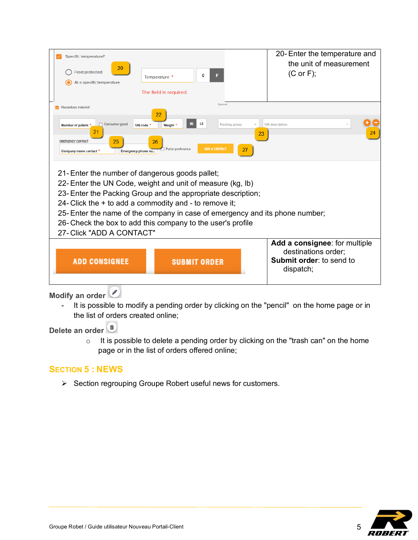| Specific temperature?                                                          |                                                                                                                          |                            | 20-Enter the temperature and<br>the unit of measurement      |  |  |  |
|--------------------------------------------------------------------------------|--------------------------------------------------------------------------------------------------------------------------|----------------------------|--------------------------------------------------------------|--|--|--|
| 20<br>Frost protected<br>At a specific temperature                             | С<br>Temperature *                                                                                                       | F                          | $(C \text{ or } F);$                                         |  |  |  |
|                                                                                | The field is required.                                                                                                   |                            |                                                              |  |  |  |
| Hazardous material                                                             |                                                                                                                          | Optional                   |                                                              |  |  |  |
| Consumer good<br>П<br>Number of pallets<br>21                                  | 22<br>LB<br>Weight <sup>1</sup><br>UN code $*$                                                                           | Packing group<br>23        | UN description<br>24                                         |  |  |  |
| 25<br><b>EMERGENCY CONTACT</b><br>Emergency phone nu<br>Company name contact * | 26<br>Put in preference                                                                                                  | <b>ADD A CONTACT</b><br>27 |                                                              |  |  |  |
|                                                                                | 21-Enter the number of dangerous goods pallet;                                                                           |                            |                                                              |  |  |  |
| 22-Enter the UN Code, weight and unit of measure (kg, lb)                      |                                                                                                                          |                            |                                                              |  |  |  |
|                                                                                | 23- Enter the Packing Group and the appropriate description;<br>24- Click the $+$ to add a commodity and - to remove it; |                            |                                                              |  |  |  |
| 25- Enter the name of the company in case of emergency and its phone number;   |                                                                                                                          |                            |                                                              |  |  |  |
| 26- Check the box to add this company to the user's profile                    |                                                                                                                          |                            |                                                              |  |  |  |
| 27- Click "ADD A CONTACT"                                                      |                                                                                                                          |                            |                                                              |  |  |  |
|                                                                                |                                                                                                                          |                            | Add a consignee: for multiple                                |  |  |  |
| <b>ADD CONSIGNEE</b>                                                           | <b>SUBMIT ORDER</b>                                                                                                      |                            | destinations order;<br>Submit order: to send to<br>dispatch; |  |  |  |
|                                                                                |                                                                                                                          |                            |                                                              |  |  |  |

**Modify an order** 

- It is possible to modify a pending order by clicking on the "pencil" on the home page or in the list of orders created online;

**Delete an order** 

o It is possible to delete a pending order by clicking on the "trash can" on the home page or in the list of orders offered online;

# **SECTION 5 : NEWS**

Ø Section regrouping Groupe Robert useful news for customers.

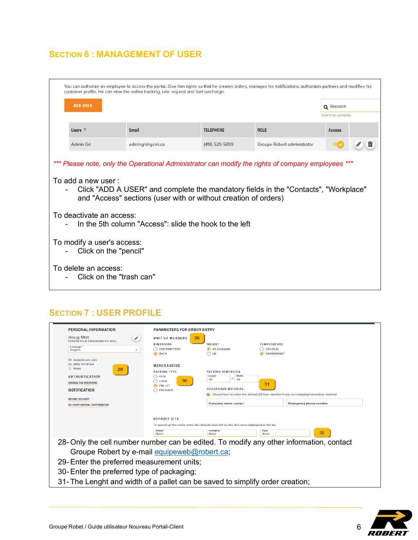## **SECTION 6 : MANAGEMENT OF USER**

| You can authorize an employee to access the portal. Give him rights so that he creates orders, manages his notifications, authorizes partners and modifies his<br>customer profile. He can view the online tracking, rate request and fuel surcharge. |                                                                                                                                                                                                                                                                                                                                                                                                                                                                                     |                  |                  |                             |                    |   |
|-------------------------------------------------------------------------------------------------------------------------------------------------------------------------------------------------------------------------------------------------------|-------------------------------------------------------------------------------------------------------------------------------------------------------------------------------------------------------------------------------------------------------------------------------------------------------------------------------------------------------------------------------------------------------------------------------------------------------------------------------------|------------------|------------------|-----------------------------|--------------------|---|
|                                                                                                                                                                                                                                                       | <b>ADD USER</b><br>Q Research                                                                                                                                                                                                                                                                                                                                                                                                                                                       |                  |                  |                             |                    |   |
|                                                                                                                                                                                                                                                       |                                                                                                                                                                                                                                                                                                                                                                                                                                                                                     |                  |                  |                             | Search by username |   |
|                                                                                                                                                                                                                                                       | Users $†$                                                                                                                                                                                                                                                                                                                                                                                                                                                                           | Email            | <b>TELEPHONE</b> | <b>ROLE</b>                 | Access             |   |
|                                                                                                                                                                                                                                                       | Admin Gri                                                                                                                                                                                                                                                                                                                                                                                                                                                                           | admingri@gcmi.ca | (418) 529-5899   | Groupe Robert administrator |                    | Ш |
|                                                                                                                                                                                                                                                       | *** Please note, only the Operational Administrator can modify the rights of company employees ***<br>To add a new user:<br>Click "ADD A USER" and complete the mandatory fields in the "Contacts", "Workplace"<br>and "Access" sections (user with or without creation of orders)<br>To deactivate an access:<br>In the 5th column "Access": slide the hook to the left<br>To modify a user's access:<br>Click on the "pencil"<br>To delete an access:<br>Click on the "trash can" |                  |                  |                             |                    |   |

### **SECTION 7 : USER PROFILE**

| PERSONAL INFORMATION                                                                                                                                                       | PARAMETERS FOR ORDER ENTRY                                                                           |                                                                                                            |                                                                                                                              |  |
|----------------------------------------------------------------------------------------------------------------------------------------------------------------------------|------------------------------------------------------------------------------------------------------|------------------------------------------------------------------------------------------------------------|------------------------------------------------------------------------------------------------------------------------------|--|
| doug Mat<br><b>ESSENCES &amp; FRAGRANCES BELL</b><br>Language <sup>1</sup><br>English<br>÷                                                                                 | UNIT OF MEASURE<br>29<br>DIMENSION<br><b>CENTIMETERS</b><br>O INCH                                   | WEIGHT<br>C KILOGRAMS<br>◯ LB                                                                              | <b>TEMPERATURE</b><br><b>CELSIUS</b><br><b>• FAHRENHEIT</b>                                                                  |  |
| matadicom.com<br>  (418) 321-4564<br>$\Box$ None<br>28<br>AUTHENTICATION<br><b>CHANGE THE PASSWORD</b><br>NOTIFICATION<br>BEFORE DELIVERY<br>DELIVERY ARRIVAL CONFIRMATION | MERCHANDISE<br><b>PACKING TYPE</b><br>$\bigcap$ BOX<br>30<br>CASE<br>⊖<br><b>O</b> PALLET<br>PACKAGE | PACKING DIMENSION<br>Longht<br>Width<br>χ<br>48<br>48<br><b>HAZARDOUS MATERIAL</b><br>Company name contact | 31<br>Check here to enter the default 24 hour number if you are shipping hazardous material<br><b>Emergency phone number</b> |  |
|                                                                                                                                                                            | <b>DEFAULT SITE</b>                                                                                  | To speed up the order entry, the default sites will be the first ones displayed in the list.               |                                                                                                                              |  |
|                                                                                                                                                                            | Shipper<br>None                                                                                      | Consignee<br>None                                                                                          | Payer<br>32<br>None                                                                                                          |  |
| Groupe Robert by e-mail equipeweb@robert.ca;                                                                                                                               |                                                                                                      |                                                                                                            | 28- Only the cell number number can be edited. To modify any other information, contact                                      |  |
| 29- Enter the preferred measurement units;                                                                                                                                 |                                                                                                      |                                                                                                            |                                                                                                                              |  |
| 30-Enter the preferred type of packaging;                                                                                                                                  |                                                                                                      |                                                                                                            |                                                                                                                              |  |
| 31- The Lenght and width of a pallet can be saved to simplify order creation;                                                                                              |                                                                                                      |                                                                                                            |                                                                                                                              |  |

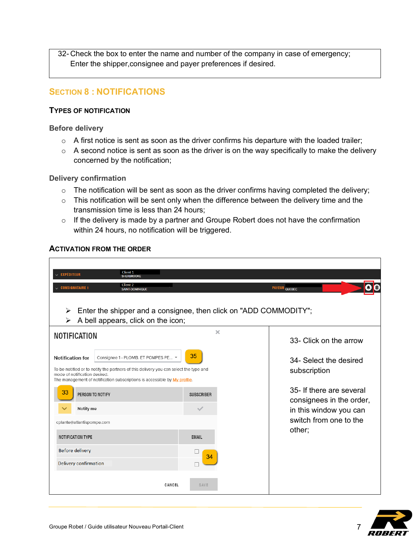32- Check the box to enter the name and number of the company in case of emergency; Enter the shipper,consignee and payer preferences if desired.

### **SECTION 8 : NOTIFICATIONS**

### **TYPES OF NOTIFICATION**

#### **Before delivery**

- $\circ$  A first notice is sent as soon as the driver confirms his departure with the loaded trailer;
- $\circ$  A second notice is sent as soon as the driver is on the way specifically to make the delivery concerned by the notification;

### **Delivery confirmation**

- $\circ$  The notification will be sent as soon as the driver confirms having completed the delivery;
- $\circ$  This notification will be sent only when the difference between the delivery time and the transmission time is less than 24 hours;
- $\circ$  If the delivery is made by a partner and Groupe Robert does not have the confirmation within 24 hours, no notification will be triggered.

### **ACTIVATION FROM THE ORDER**

| Client 1<br><b>EXPÉDITEUR</b><br><b>SHERBROOKE</b>                                                                                                                                                                                                                    |                                        |                                                      |
|-----------------------------------------------------------------------------------------------------------------------------------------------------------------------------------------------------------------------------------------------------------------------|----------------------------------------|------------------------------------------------------|
| Client 2<br><b>CONSIGNATAIRE 1</b><br><b>SAINT-DOMINIQUE</b>                                                                                                                                                                                                          |                                        | PAYEUR QUEBEC                                        |
| Enter the shipper and a consignee, then click on "ADD COMMODITY";<br>≻<br>A bell appears, click on the icon;<br>⋗                                                                                                                                                     |                                        |                                                      |
| <b>NOTIFICATION</b>                                                                                                                                                                                                                                                   | $\mathbf{x}$                           | 33- Click on the arrow                               |
| Consignee 1 - PLOMB. ET POMPES PE ▼<br><b>Notification for</b><br>To be notified or to notify the partners of this delivery you can select the type and<br>mode of notification desired.<br>The management of notification subscriptions is accessible by My profile. | 34- Select the desired<br>subscription |                                                      |
| 33<br>PERSON TO NOTIFY<br><b>SUBSCRIBER</b>                                                                                                                                                                                                                           |                                        | 35- If there are several<br>consignees in the order, |
| Notify me                                                                                                                                                                                                                                                             |                                        | in this window you can<br>switch from one to the     |
| cplante@atlantispompe.com                                                                                                                                                                                                                                             |                                        | other;                                               |
| <b>NOTIFICATION TYPE</b>                                                                                                                                                                                                                                              | <b>EMAIL</b>                           |                                                      |
| <b>Before delivery</b>                                                                                                                                                                                                                                                | 34                                     |                                                      |
| Delivery confirmation                                                                                                                                                                                                                                                 |                                        |                                                      |
| CANCEL                                                                                                                                                                                                                                                                | SAVE                                   |                                                      |